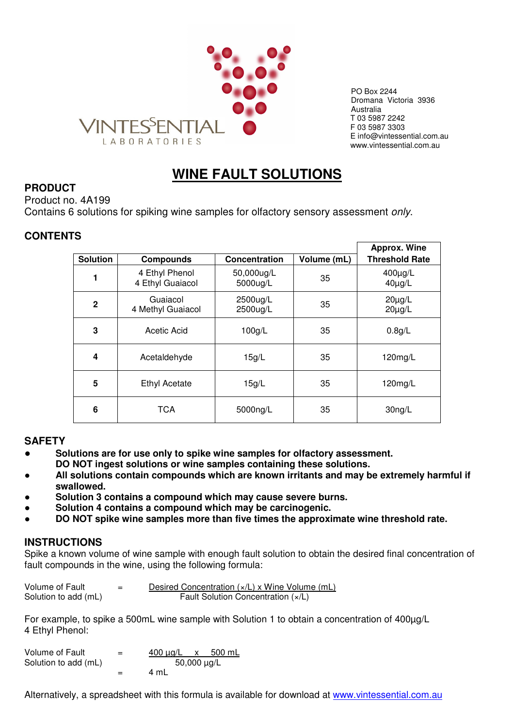

PO Box 2244 Dromana Victoria 3936 Australia T 03 5987 2242 F 03 5987 3303 E info@vintessential.com.au www.vintessential.com.au

# **WINE FAULT SOLUTIONS**

# **PRODUCT**

Product no. 4A199

Contains 6 solutions for spiking wine samples for olfactory sensory assessment only.

# **CONTENTS**

|                 |                                    |                        |             | <b>Approx. Wine</b>        |
|-----------------|------------------------------------|------------------------|-------------|----------------------------|
| <b>Solution</b> | <b>Compounds</b>                   | Concentration          | Volume (mL) | <b>Threshold Rate</b>      |
| 1               | 4 Ethyl Phenol<br>4 Ethyl Guaiacol | 50,000ug/L<br>5000ug/L | 35          | 400µg/L<br>$40\mu g/L$     |
| $\mathbf{2}$    | Guaiacol<br>4 Methyl Guaiacol      | 2500ug/L<br>2500ug/L   | 35          | $20\mu g/L$<br>$20\mu g/L$ |
| 3               | Acetic Acid                        | 100g/L                 | 35          | 0.8g/L                     |
| 4               | Acetaldehyde                       | 15g/L                  | 35          | 120mg/L                    |
| 5               | <b>Ethyl Acetate</b>               | 15g/L                  | 35          | 120mg/L                    |
| 6               | <b>TCA</b>                         | 5000ng/L               | 35          | 30ng/L                     |

## **SAFETY**

- **Solutions are for use only to spike wine samples for olfactory assessment. DO NOT ingest solutions or wine samples containing these solutions.**
- All solutions contain compounds which are known irritants and may be extremely harmful if **swallowed.**
- Solution 3 contains a compound which may cause severe burns.
- Solution 4 contains a compound which may be carcinogenic.
- DO NOT spike wine samples more than five times the approximate wine threshold rate.

## **INSTRUCTIONS**

Spike a known volume of wine sample with enough fault solution to obtain the desired final concentration of fault compounds in the wine, using the following formula:

| Volume of Fault      | $\overline{\phantom{0}}$<br>_ | Desired Concentration $(x/L)$ x Wine Volume (mL) |
|----------------------|-------------------------------|--------------------------------------------------|
| Solution to add (mL) |                               | Fault Solution Concentration (x/L)               |

For example, to spike a 500mL wine sample with Solution 1 to obtain a concentration of 400µg/L 4 Ethyl Phenol:

| Volume of Fault      | $=$ | 500 mL<br>400 μg/L x |
|----------------------|-----|----------------------|
| Solution to add (mL) |     | 50,000 $\mu$ g/L     |
|                      | $=$ | 4 mL                 |

Alternatively, a spreadsheet with this formula is available for download at www.vintessential.com.au